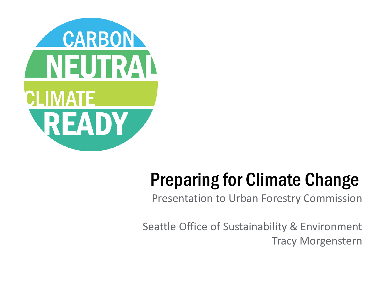

### Preparing for Climate Change

Presentation to Urban Forestry Commission

Seattle Office of Sustainability & Environment Tracy Morgenstern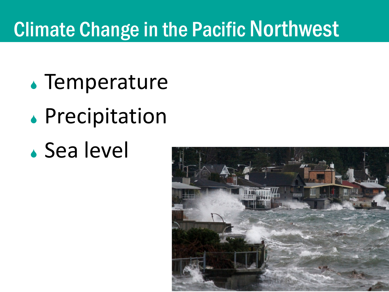### Climate Change in the Pacific Northwest

- Temperature
- **.** Precipitation
- Sea level

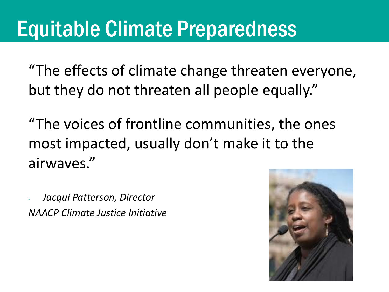## Equitable Climate Preparedness

"The effects of climate change threaten everyone, but they do not threaten all people equally."

"The voices of frontline communities, the ones most impacted, usually don't make it to the airwaves."

- *Jacqui Patterson, Director NAACP Climate Justice Initiative*

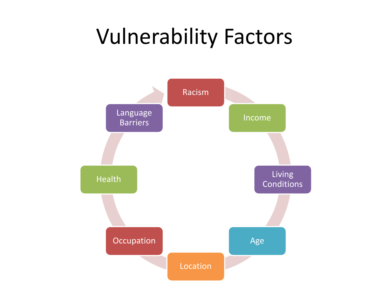## Vulnerability Factors

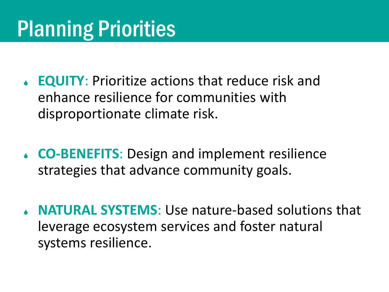# Planning Priorities

- **EQUITY**: Prioritize actions that reduce risk and enhance resilience for communities with disproportionate climate risk.
- **CO-BENEFITS**: Design and implement resilience strategies that advance community goals.
- **NATURAL SYSTEMS**: Use nature-based solutions that leverage ecosystem services and foster natural systems resilience.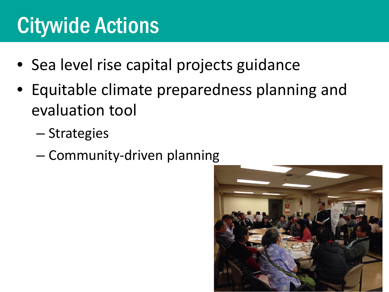## Citywide Actions

- Sea level rise capital projects guidance
- Equitable climate preparedness planning and evaluation tool
	- Strategies
	- Community-driven planning

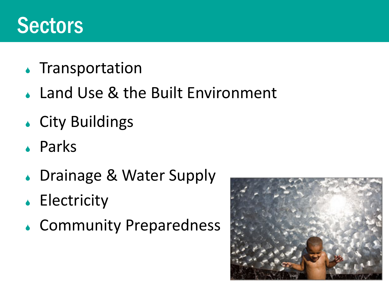### **Sectors**

- **.** Transportation
- Land Use & the Built Environment
- City Buildings
- Parks
- ↓ Drainage & Water Supply
- **Electricity**
- Community Preparedness

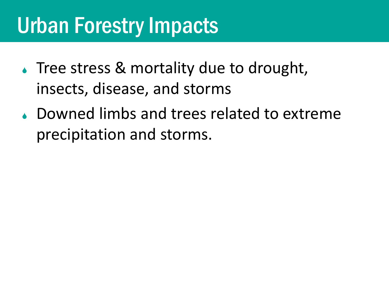## Urban Forestry Impacts

- Tree stress & mortality due to drought, insects, disease, and storms
- Downed limbs and trees related to extreme precipitation and storms.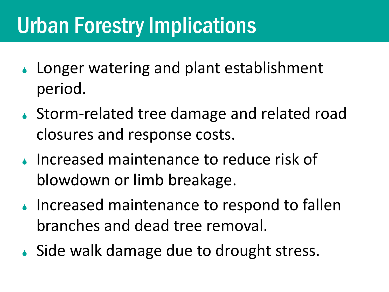## Urban Forestry Implications

- Longer watering and plant establishment period.
- ↓ Storm-related tree damage and related road closures and response costs.
- **Increased maintenance to reduce risk of** blowdown or limb breakage.
- **Increased maintenance to respond to fallen** branches and dead tree removal.
- Side walk damage due to drought stress.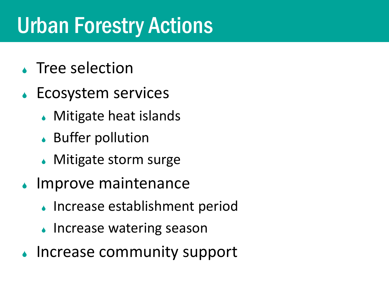## Urban Forestry Actions

- ◆ Tree selection
- **Ecosystem services** 
	- ↓ Mitigate heat islands
	- Buffer pollution
	- ◆ Mitigate storm surge
- ↓ Improve maintenance
	- Increase establishment period
	- Increase watering season
- Increase community support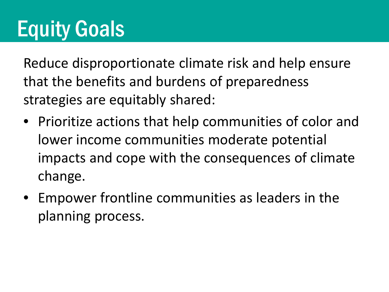Reduce disproportionate climate risk and help ensure that the benefits and burdens of preparedness strategies are equitably shared:

- Prioritize actions that help communities of color and lower income communities moderate potential impacts and cope with the consequences of climate change.
- Empower frontline communities as leaders in the planning process.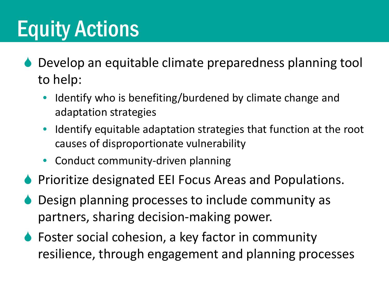- Develop an equitable climate preparedness planning tool to help:
	- Identify who is benefiting/burdened by climate change and adaptation strategies
	- Identify equitable adaptation strategies that function at the root causes of disproportionate vulnerability
	- Conduct community-driven planning
- **Prioritize designated EEI Focus Areas and Populations.**
- Design planning processes to include community as partners, sharing decision-making power.
- ◆ Foster social cohesion, a key factor in community resilience, through engagement and planning processes